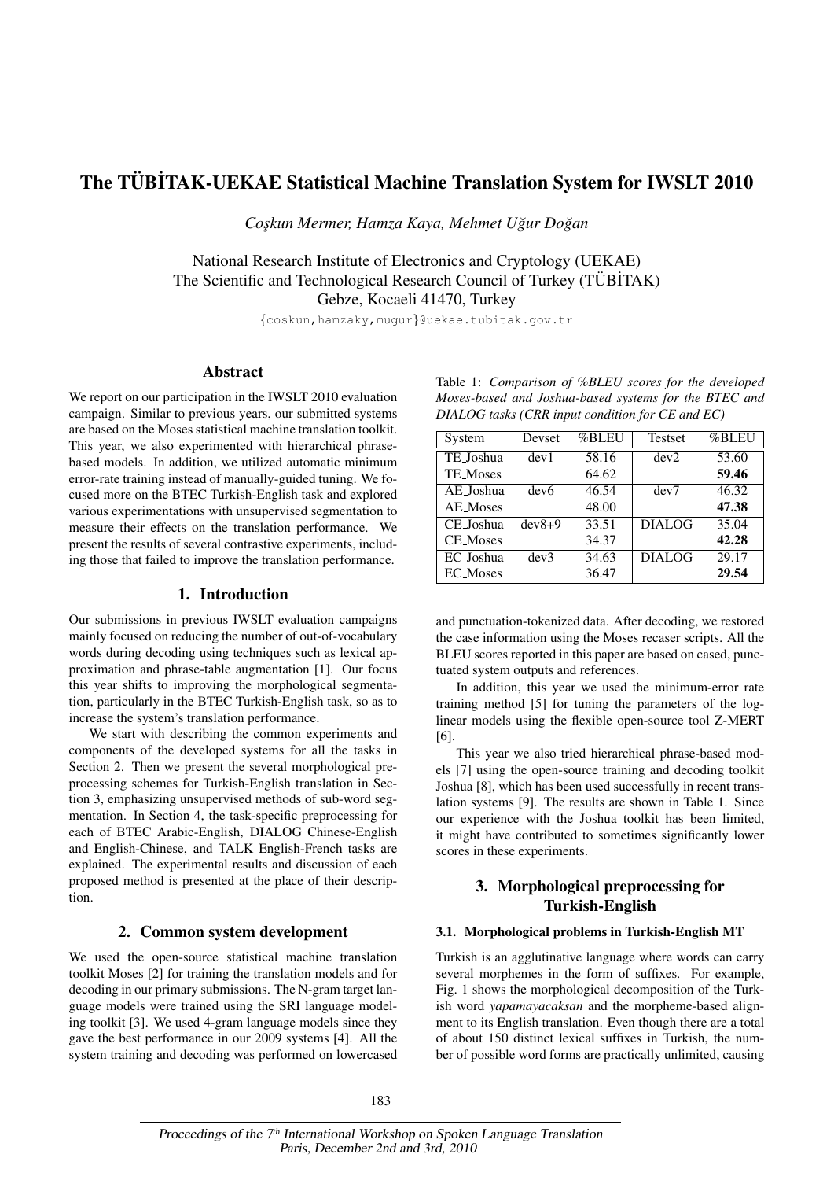# The TÜBİTAK-UEKAE Statistical Machine Translation System for IWSLT 2010

 $Coskun Mermer, Hamza Kaya, Mehmet Uğur Doğan$ 

National Research Institute of Electronics and Cryptology (UEKAE) The Scientific and Technological Research Council of Turkey (TÜBİTAK) Gebze, Kocaeli 41470, Turkey

{coskun,hamzaky,mugur}@uekae.tubitak.gov.tr

## Abstract

We report on our participation in the IWSLT 2010 evaluation campaign. Similar to previous years, our submitted systems are based on the Moses statistical machine translation toolkit. This year, we also experimented with hierarchical phrasebased models. In addition, we utilized automatic minimum error-rate training instead of manually-guided tuning. We focused more on the BTEC Turkish-English task and explored various experimentations with unsupervised segmentation to measure their effects on the translation performance. We present the results of several contrastive experiments, including those that failed to improve the translation performance.

# 1. Introduction

Our submissions in previous IWSLT evaluation campaigns mainly focused on reducing the number of out-of-vocabulary words during decoding using techniques such as lexical approximation and phrase-table augmentation [1]. Our focus this year shifts to improving the morphological segmentation, particularly in the BTEC Turkish-English task, so as to increase the system's translation performance.

We start with describing the common experiments and components of the developed systems for all the tasks in Section 2. Then we present the several morphological preprocessing schemes for Turkish-English translation in Section 3, emphasizing unsupervised methods of sub-word segmentation. In Section 4, the task-specific preprocessing for each of BTEC Arabic-English, DIALOG Chinese-English and English-Chinese, and TALK English-French tasks are explained. The experimental results and discussion of each proposed method is presented at the place of their description.

## 2. Common system development

We used the open-source statistical machine translation toolkit Moses [2] for training the translation models and for decoding in our primary submissions. The N-gram target language models were trained using the SRI language modeling toolkit [3]. We used 4-gram language models since they gave the best performance in our 2009 systems [4]. All the system training and decoding was performed on lowercased

Table 1: *Comparison of %BLEU scores for the developed Moses-based and Joshua-based systems for the BTEC and DIALOG tasks (CRR input condition for CE and EC)*

| System          | Devset           | %BLEU | <b>Testset</b> | %BLEU |
|-----------------|------------------|-------|----------------|-------|
| TE Joshua       | dev1             | 58.16 | dev2           | 53.60 |
| <b>TE</b> Moses |                  | 64.62 |                | 59.46 |
| AE Joshua       | dev <sub>6</sub> | 46.54 | dev7           | 46.32 |
| AE Moses        |                  | 48.00 |                | 47.38 |
| CE_Joshua       | $dev8+9$         | 33.51 | <b>DIALOG</b>  | 35.04 |
| <b>CE_Moses</b> |                  | 34.37 |                | 42.28 |
| EC_Joshua       | dev3             | 34.63 | <b>DIALOG</b>  | 29.17 |
| <b>EC_Moses</b> |                  | 36.47 |                | 29.54 |

and punctuation-tokenized data. After decoding, we restored the case information using the Moses recaser scripts. All the BLEU scores reported in this paper are based on cased, punctuated system outputs and references.

In addition, this year we used the minimum-error rate training method [5] for tuning the parameters of the loglinear models using the flexible open-source tool Z-MERT [6].

This year we also tried hierarchical phrase-based models [7] using the open-source training and decoding toolkit Joshua [8], which has been used successfully in recent translation systems [9]. The results are shown in Table 1. Since our experience with the Joshua toolkit has been limited, it might have contributed to sometimes significantly lower scores in these experiments.

# 3. Morphological preprocessing for Turkish-English

# 3.1. Morphological problems in Turkish-English MT

Turkish is an agglutinative language where words can carry several morphemes in the form of suffixes. For example, Fig. 1 shows the morphological decomposition of the Turkish word *yapamayacaksan* and the morpheme-based alignment to its English translation. Even though there are a total of about 150 distinct lexical suffixes in Turkish, the number of possible word forms are practically unlimited, causing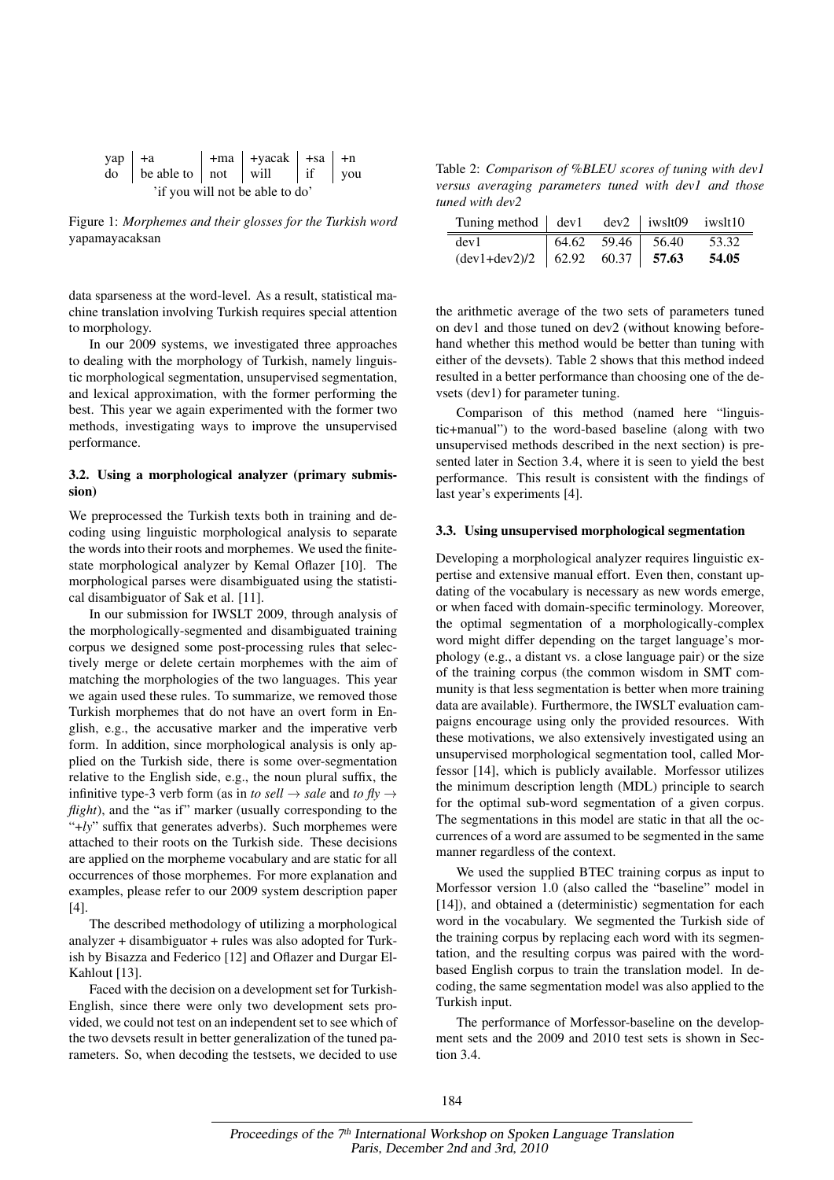| $\text{yap}$ +a                 |                                                                        |  | $\vert$ +ma $\vert$ +yacak $\vert$ +sa $\vert$ +n |  |  |  |
|---------------------------------|------------------------------------------------------------------------|--|---------------------------------------------------|--|--|--|
|                                 | $\alpha$ be able to $\alpha$ ot $\alpha$ will $\alpha$ if $\alpha$ you |  |                                                   |  |  |  |
| 'if you will not be able to do' |                                                                        |  |                                                   |  |  |  |

Figure 1: *Morphemes and their glosses for the Turkish word* yapamayacaksan

data sparseness at the word-level. As a result, statistical machine translation involving Turkish requires special attention to morphology.

In our 2009 systems, we investigated three approaches to dealing with the morphology of Turkish, namely linguistic morphological segmentation, unsupervised segmentation, and lexical approximation, with the former performing the best. This year we again experimented with the former two methods, investigating ways to improve the unsupervised performance.

## 3.2. Using a morphological analyzer (primary submission)

We preprocessed the Turkish texts both in training and decoding using linguistic morphological analysis to separate the words into their roots and morphemes. We used the finitestate morphological analyzer by Kemal Oflazer [10]. The morphological parses were disambiguated using the statistical disambiguator of Sak et al. [11].

In our submission for IWSLT 2009, through analysis of the morphologically-segmented and disambiguated training corpus we designed some post-processing rules that selectively merge or delete certain morphemes with the aim of matching the morphologies of the two languages. This year we again used these rules. To summarize, we removed those Turkish morphemes that do not have an overt form in English, e.g., the accusative marker and the imperative verb form. In addition, since morphological analysis is only applied on the Turkish side, there is some over-segmentation relative to the English side, e.g., the noun plural suffix, the infinitive type-3 verb form (as in *to sell*  $\rightarrow$  *sale* and *to fly*  $\rightarrow$ *flight*), and the "as if" marker (usually corresponding to the "+*ly*" suffix that generates adverbs). Such morphemes were attached to their roots on the Turkish side. These decisions are applied on the morpheme vocabulary and are static for all occurrences of those morphemes. For more explanation and examples, please refer to our 2009 system description paper [4].

The described methodology of utilizing a morphological analyzer + disambiguator + rules was also adopted for Turkish by Bisazza and Federico [12] and Oflazer and Durgar El-Kahlout [13].

Faced with the decision on a development set for Turkish-English, since there were only two development sets provided, we could not test on an independent set to see which of the two devsets result in better generalization of the tuned parameters. So, when decoding the testsets, we decided to use

Table 2: *Comparison of %BLEU scores of tuning with dev1 versus averaging parameters tuned with dev1 and those tuned with dev2*

| Tuning method $\vert$ dev1 dev2 $\vert$ iwslt09 iwslt10 |  |                                                                                |       |
|---------------------------------------------------------|--|--------------------------------------------------------------------------------|-------|
| dev1                                                    |  | $\begin{array}{ c c c c c } \hline 64.62 & 59.46 & 56.40 \\\hline \end{array}$ | 53.32 |
| $(\text{dev1+dev2})/2$   62.92 60.37   57.63            |  |                                                                                | 54.05 |

the arithmetic average of the two sets of parameters tuned on dev1 and those tuned on dev2 (without knowing beforehand whether this method would be better than tuning with either of the devsets). Table 2 shows that this method indeed resulted in a better performance than choosing one of the devsets (dev1) for parameter tuning.

Comparison of this method (named here "linguistic+manual") to the word-based baseline (along with two unsupervised methods described in the next section) is presented later in Section 3.4, where it is seen to yield the best performance. This result is consistent with the findings of last year's experiments [4].

#### 3.3. Using unsupervised morphological segmentation

Developing a morphological analyzer requires linguistic expertise and extensive manual effort. Even then, constant updating of the vocabulary is necessary as new words emerge, or when faced with domain-specific terminology. Moreover, the optimal segmentation of a morphologically-complex word might differ depending on the target language's morphology (e.g., a distant vs. a close language pair) or the size of the training corpus (the common wisdom in SMT community is that less segmentation is better when more training data are available). Furthermore, the IWSLT evaluation campaigns encourage using only the provided resources. With these motivations, we also extensively investigated using an unsupervised morphological segmentation tool, called Morfessor [14], which is publicly available. Morfessor utilizes the minimum description length (MDL) principle to search for the optimal sub-word segmentation of a given corpus. The segmentations in this model are static in that all the occurrences of a word are assumed to be segmented in the same manner regardless of the context.

We used the supplied BTEC training corpus as input to Morfessor version 1.0 (also called the "baseline" model in [14]), and obtained a (deterministic) segmentation for each word in the vocabulary. We segmented the Turkish side of the training corpus by replacing each word with its segmentation, and the resulting corpus was paired with the wordbased English corpus to train the translation model. In decoding, the same segmentation model was also applied to the Turkish input.

The performance of Morfessor-baseline on the development sets and the 2009 and 2010 test sets is shown in Section 3.4.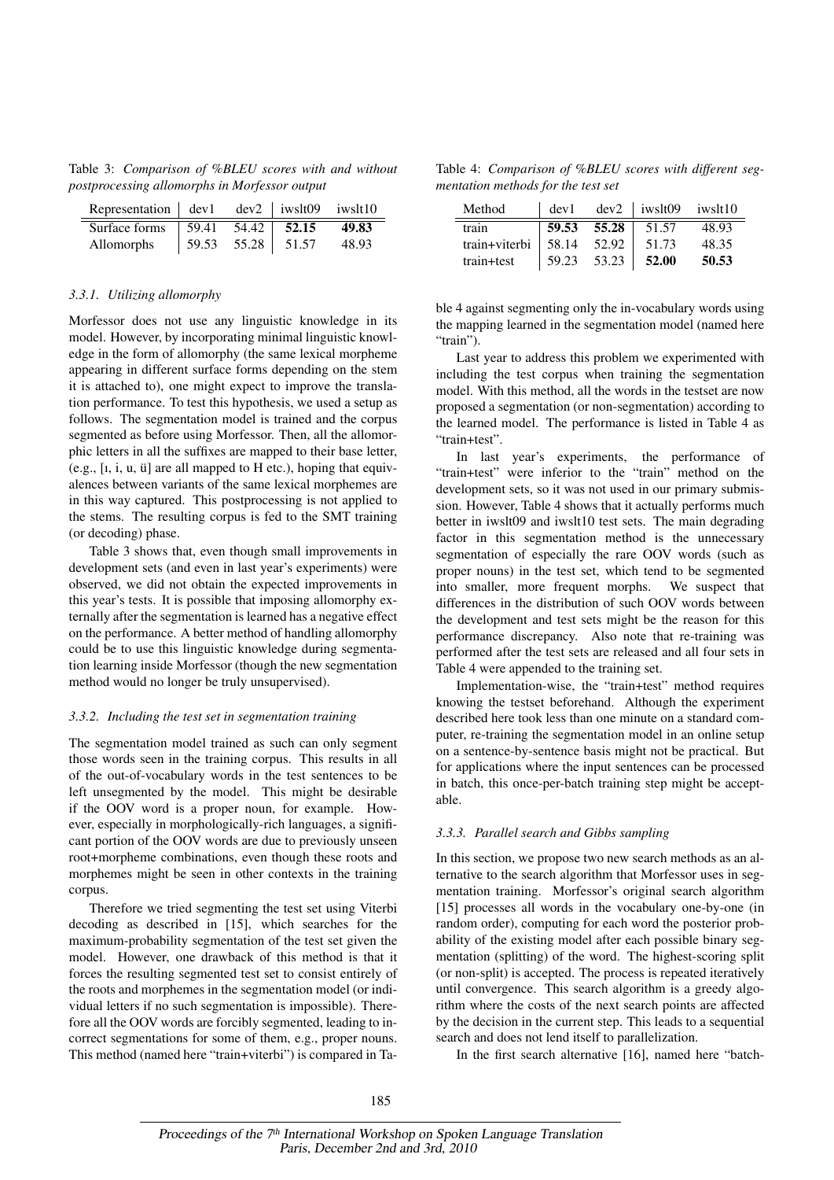Table 3: *Comparison of %BLEU scores with and without postprocessing allomorphs in Morfessor output*

| Representation $\vert$ dev1 dev2 $\vert$ iwslt09 iwslt10 |  |                                   |       |
|----------------------------------------------------------|--|-----------------------------------|-------|
| Surface forms   59.41 54.42   52.15                      |  |                                   | 49.83 |
| Allomorphs                                               |  | $\vert$ 59.53 55.28 $\vert$ 51.57 | 48.93 |

#### *3.3.1. Utilizing allomorphy*

Morfessor does not use any linguistic knowledge in its model. However, by incorporating minimal linguistic knowledge in the form of allomorphy (the same lexical morpheme appearing in different surface forms depending on the stem it is attached to), one might expect to improve the translation performance. To test this hypothesis, we used a setup as follows. The segmentation model is trained and the corpus segmented as before using Morfessor. Then, all the allomorphic letters in all the suffixes are mapped to their base letter, (e.g.,  $[i, i, u, u]$  are all mapped to H etc.), hoping that equivalences between variants of the same lexical morphemes are in this way captured. This postprocessing is not applied to the stems. The resulting corpus is fed to the SMT training (or decoding) phase.

Table 3 shows that, even though small improvements in development sets (and even in last year's experiments) were observed, we did not obtain the expected improvements in this year's tests. It is possible that imposing allomorphy externally after the segmentation is learned has a negative effect on the performance. A better method of handling allomorphy could be to use this linguistic knowledge during segmentation learning inside Morfessor (though the new segmentation method would no longer be truly unsupervised).

#### *3.3.2. Including the test set in segmentation training*

The segmentation model trained as such can only segment those words seen in the training corpus. This results in all of the out-of-vocabulary words in the test sentences to be left unsegmented by the model. This might be desirable if the OOV word is a proper noun, for example. However, especially in morphologically-rich languages, a significant portion of the OOV words are due to previously unseen root+morpheme combinations, even though these roots and morphemes might be seen in other contexts in the training corpus.

Therefore we tried segmenting the test set using Viterbi decoding as described in [15], which searches for the maximum-probability segmentation of the test set given the model. However, one drawback of this method is that it forces the resulting segmented test set to consist entirely of the roots and morphemes in the segmentation model (or individual letters if no such segmentation is impossible). Therefore all the OOV words are forcibly segmented, leading to incorrect segmentations for some of them, e.g., proper nouns. This method (named here "train+viterbi") is compared in Ta-

Table 4: *Comparison of %BLEU scores with different segmentation methods for the test set*

| Method                | $\vert$ dev1 |             | $dev2$   iwslt09 iwslt10 |       |
|-----------------------|--------------|-------------|--------------------------|-------|
| train                 |              | 59.53 55.28 | 51.57                    | 48.93 |
| train+viterbi   58.14 |              | 52.92       | 51.73                    | 48.35 |
| train+test            | 59.23        | 53.23       | 52.00                    | 50.53 |

ble 4 against segmenting only the in-vocabulary words using the mapping learned in the segmentation model (named here "train").

Last year to address this problem we experimented with including the test corpus when training the segmentation model. With this method, all the words in the testset are now proposed a segmentation (or non-segmentation) according to the learned model. The performance is listed in Table 4 as "train+test".

In last year's experiments, the performance of "train+test" were inferior to the "train" method on the development sets, so it was not used in our primary submission. However, Table 4 shows that it actually performs much better in iwslt09 and iwslt10 test sets. The main degrading factor in this segmentation method is the unnecessary segmentation of especially the rare OOV words (such as proper nouns) in the test set, which tend to be segmented into smaller, more frequent morphs. We suspect that differences in the distribution of such OOV words between the development and test sets might be the reason for this performance discrepancy. Also note that re-training was performed after the test sets are released and all four sets in Table 4 were appended to the training set.

Implementation-wise, the "train+test" method requires knowing the testset beforehand. Although the experiment described here took less than one minute on a standard computer, re-training the segmentation model in an online setup on a sentence-by-sentence basis might not be practical. But for applications where the input sentences can be processed in batch, this once-per-batch training step might be acceptable.

#### *3.3.3. Parallel search and Gibbs sampling*

In this section, we propose two new search methods as an alternative to the search algorithm that Morfessor uses in segmentation training. Morfessor's original search algorithm [15] processes all words in the vocabulary one-by-one (in random order), computing for each word the posterior probability of the existing model after each possible binary segmentation (splitting) of the word. The highest-scoring split (or non-split) is accepted. The process is repeated iteratively until convergence. This search algorithm is a greedy algorithm where the costs of the next search points are affected by the decision in the current step. This leads to a sequential search and does not lend itself to parallelization.

In the first search alternative [16], named here "batch-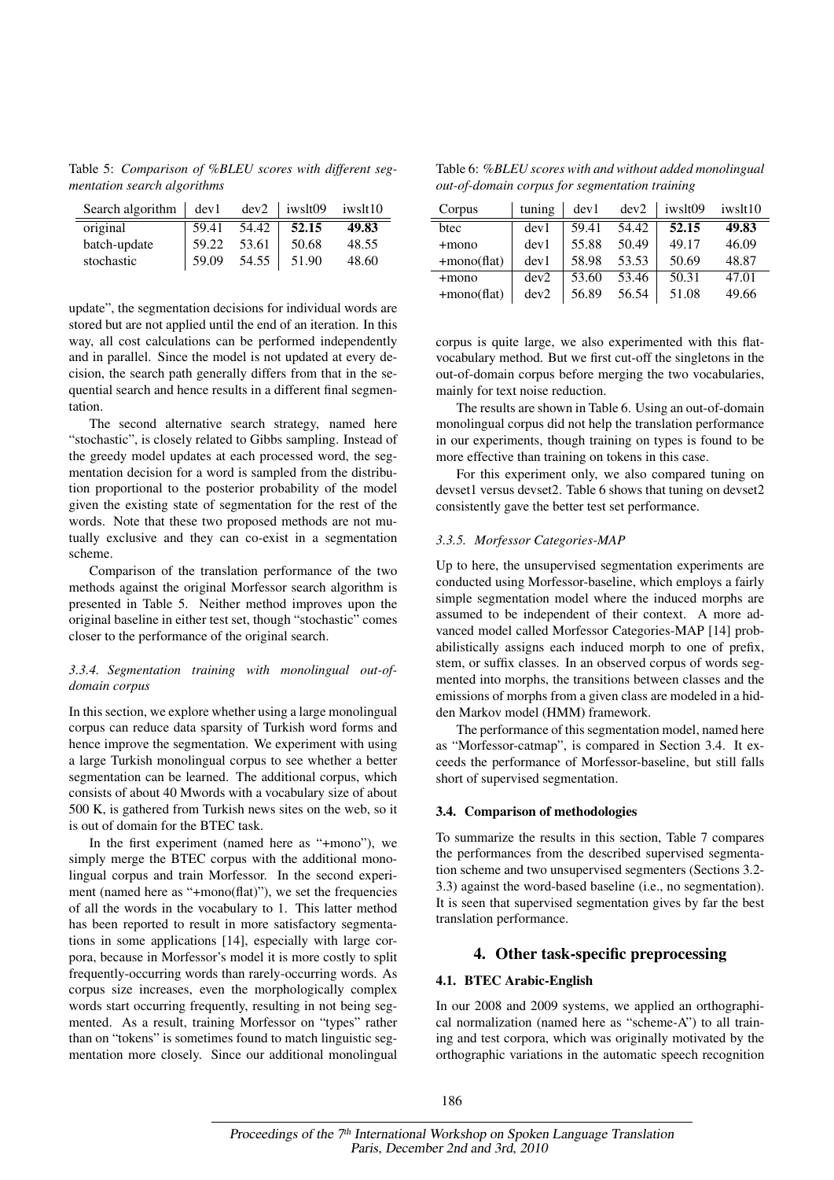Table 5: *Comparison of %BLEU scores with different segmentation search algorithms*

| Search algorithm $\vert$ dev1 |       |       | $dev2$   iwslt09 | iwslt10 |
|-------------------------------|-------|-------|------------------|---------|
| original                      | 59.41 | 54.42 | 52.15            | 49.83   |
| batch-update                  | 59.22 | 53.61 | 50.68            | 48.55   |
| stochastic                    | 59.09 | 54.55 | 51.90            | 48.60   |

update", the segmentation decisions for individual words are stored but are not applied until the end of an iteration. In this way, all cost calculations can be performed independently and in parallel. Since the model is not updated at every decision, the search path generally differs from that in the sequential search and hence results in a different final segmentation.

The second alternative search strategy, named here "stochastic", is closely related to Gibbs sampling. Instead of the greedy model updates at each processed word, the segmentation decision for a word is sampled from the distribution proportional to the posterior probability of the model given the existing state of segmentation for the rest of the words. Note that these two proposed methods are not mutually exclusive and they can co-exist in a segmentation scheme.

Comparison of the translation performance of the two methods against the original Morfessor search algorithm is presented in Table 5. Neither method improves upon the original baseline in either test set, though "stochastic" comes closer to the performance of the original search.

## *3.3.4. Segmentation training with monolingual out-ofdomain corpus*

In this section, we explore whether using a large monolingual corpus can reduce data sparsity of Turkish word forms and hence improve the segmentation. We experiment with using a large Turkish monolingual corpus to see whether a better segmentation can be learned. The additional corpus, which consists of about 40 Mwords with a vocabulary size of about 500 K, is gathered from Turkish news sites on the web, so it is out of domain for the BTEC task.

In the first experiment (named here as "+mono"), we simply merge the BTEC corpus with the additional monolingual corpus and train Morfessor. In the second experiment (named here as "+mono(flat)"), we set the frequencies of all the words in the vocabulary to 1. This latter method has been reported to result in more satisfactory segmentations in some applications [14], especially with large corpora, because in Morfessor's model it is more costly to split frequently-occurring words than rarely-occurring words. As corpus size increases, even the morphologically complex words start occurring frequently, resulting in not being segmented. As a result, training Morfessor on "types" rather than on "tokens" is sometimes found to match linguistic segmentation more closely. Since our additional monolingual

Table 6: *%BLEU scores with and without added monolingual out-of-domain corpus for segmentation training*

| Corpus         | tuning | dev1  | dev2  | iwslt09 | iwslt10 |
|----------------|--------|-------|-------|---------|---------|
| btec           | dev1   | 59.41 | 54.42 | 52.15   | 49.83   |
| $+$ mono       | dev1   | 55.88 | 50.49 | 49.17   | 46.09   |
| $+$ mono(flat) | dev1   | 58.98 | 53.53 | 50.69   | 48.87   |
| $+$ mono       | dev2   | 53.60 | 53.46 | 50.31   | 47.01   |
| $+$ mono(flat) | dev2   | 56.89 | 56.54 | 51.08   | 49.66   |

corpus is quite large, we also experimented with this flatvocabulary method. But we first cut-off the singletons in the out-of-domain corpus before merging the two vocabularies, mainly for text noise reduction.

The results are shown in Table 6. Using an out-of-domain monolingual corpus did not help the translation performance in our experiments, though training on types is found to be more effective than training on tokens in this case.

For this experiment only, we also compared tuning on devset1 versus devset2. Table 6 shows that tuning on devset2 consistently gave the better test set performance.

#### *3.3.5. Morfessor Categories-MAP*

Up to here, the unsupervised segmentation experiments are conducted using Morfessor-baseline, which employs a fairly simple segmentation model where the induced morphs are assumed to be independent of their context. A more advanced model called Morfessor Categories-MAP [14] probabilistically assigns each induced morph to one of prefix, stem, or suffix classes. In an observed corpus of words segmented into morphs, the transitions between classes and the emissions of morphs from a given class are modeled in a hidden Markov model (HMM) framework.

The performance of this segmentation model, named here as "Morfessor-catmap", is compared in Section 3.4. It exceeds the performance of Morfessor-baseline, but still falls short of supervised segmentation.

#### 3.4. Comparison of methodologies

To summarize the results in this section, Table 7 compares the performances from the described supervised segmentation scheme and two unsupervised segmenters (Sections 3.2- 3.3) against the word-based baseline (i.e., no segmentation). It is seen that supervised segmentation gives by far the best translation performance.

# 4. Other task-specific preprocessing

### 4.1. BTEC Arabic-English

In our 2008 and 2009 systems, we applied an orthographical normalization (named here as "scheme-A") to all training and test corpora, which was originally motivated by the orthographic variations in the automatic speech recognition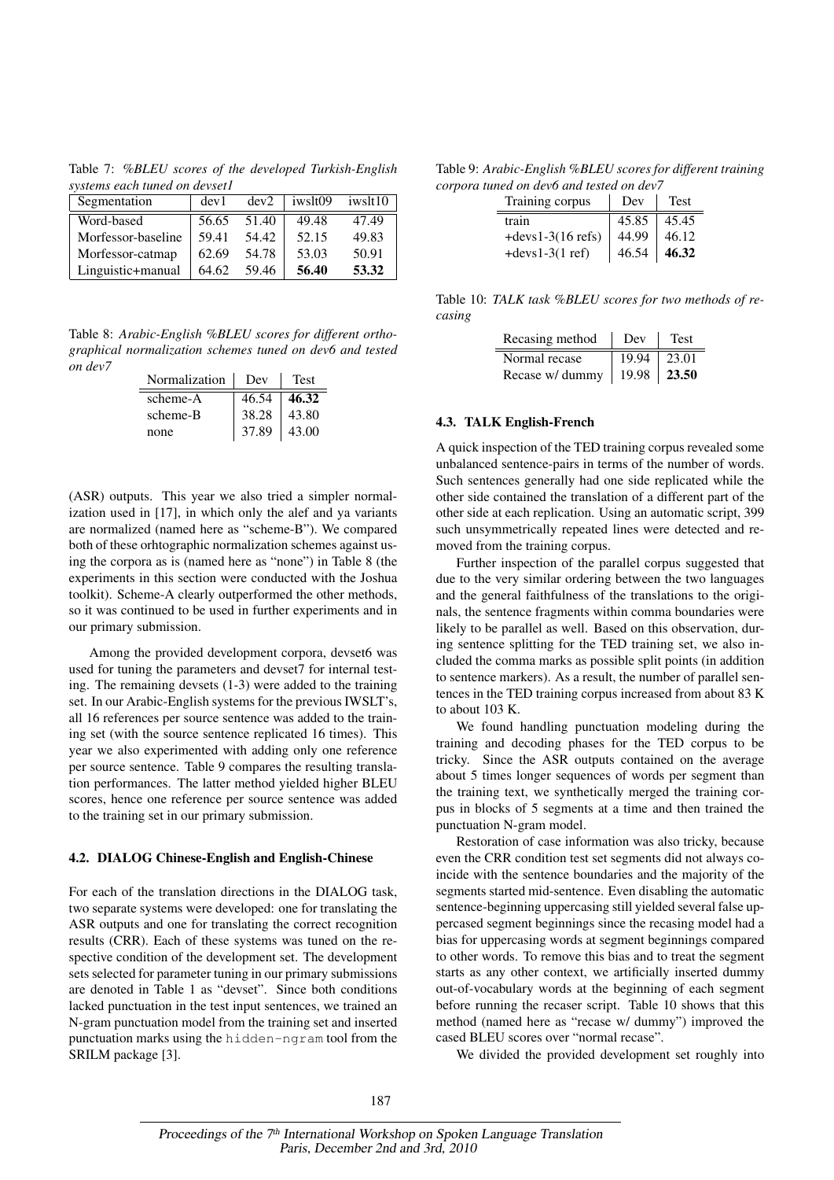Table 7: *%BLEU scores of the developed Turkish-English systems each tuned on devset1*

| Segmentation       | dev1  | dev2  | iwslt09 | iwslt10 |
|--------------------|-------|-------|---------|---------|
| Word-based         | 56.65 | 51.40 | 49.48   | 47.49   |
| Morfessor-baseline | 59.41 | 54.42 | 52.15   | 49.83   |
| Morfessor-catmap   | 62.69 | 54.78 | 53.03   | 50.91   |
| Linguistic+manual  | 64.62 | 59.46 | 56.40   | 53.32   |

Table 8: *Arabic-English %BLEU scores for different orthographical normalization schemes tuned on dev6 and tested on dev7*

| Normalization | Dev   | <b>Test</b> |
|---------------|-------|-------------|
| scheme-A      | 46.54 | 46.32       |
| scheme-B      | 38.28 | 43.80       |
| none          | 37.89 | 43.00       |

(ASR) outputs. This year we also tried a simpler normalization used in [17], in which only the alef and ya variants are normalized (named here as "scheme-B"). We compared both of these orhtographic normalization schemes against using the corpora as is (named here as "none") in Table 8 (the experiments in this section were conducted with the Joshua toolkit). Scheme-A clearly outperformed the other methods, so it was continued to be used in further experiments and in our primary submission.

Among the provided development corpora, devset6 was used for tuning the parameters and devset7 for internal testing. The remaining devsets (1-3) were added to the training set. In our Arabic-English systems for the previous IWSLT's, all 16 references per source sentence was added to the training set (with the source sentence replicated 16 times). This year we also experimented with adding only one reference per source sentence. Table 9 compares the resulting translation performances. The latter method yielded higher BLEU scores, hence one reference per source sentence was added to the training set in our primary submission.

#### 4.2. DIALOG Chinese-English and English-Chinese

For each of the translation directions in the DIALOG task, two separate systems were developed: one for translating the ASR outputs and one for translating the correct recognition results (CRR). Each of these systems was tuned on the respective condition of the development set. The development sets selected for parameter tuning in our primary submissions are denoted in Table 1 as "devset". Since both conditions lacked punctuation in the test input sentences, we trained an N-gram punctuation model from the training set and inserted punctuation marks using the hidden-ngram tool from the SRILM package [3].

Table 9: *Arabic-English %BLEU scores for different training corpora tuned on dev6 and tested on dev7*

| Training corpus      | Dev   | <b>Test</b> |
|----------------------|-------|-------------|
| train                | 45.85 | 45.45       |
| $+$ devs1-3(16 refs) | 44.99 | 46.12       |
| $+$ devs1-3(1 ref)   | 46.54 | 46.32       |

Table 10: *TALK task %BLEU scores for two methods of recasing*

| Recasing method | Dev               | Test            |
|-----------------|-------------------|-----------------|
| Normal recase   | $19.94 \pm 23.01$ |                 |
| Recase w/ dummy |                   | $19.98$   23.50 |

## 4.3. TALK English-French

A quick inspection of the TED training corpus revealed some unbalanced sentence-pairs in terms of the number of words. Such sentences generally had one side replicated while the other side contained the translation of a different part of the other side at each replication. Using an automatic script, 399 such unsymmetrically repeated lines were detected and removed from the training corpus.

Further inspection of the parallel corpus suggested that due to the very similar ordering between the two languages and the general faithfulness of the translations to the originals, the sentence fragments within comma boundaries were likely to be parallel as well. Based on this observation, during sentence splitting for the TED training set, we also included the comma marks as possible split points (in addition to sentence markers). As a result, the number of parallel sentences in the TED training corpus increased from about 83 K to about 103 K.

We found handling punctuation modeling during the training and decoding phases for the TED corpus to be tricky. Since the ASR outputs contained on the average about 5 times longer sequences of words per segment than the training text, we synthetically merged the training corpus in blocks of 5 segments at a time and then trained the punctuation N-gram model.

Restoration of case information was also tricky, because even the CRR condition test set segments did not always coincide with the sentence boundaries and the majority of the segments started mid-sentence. Even disabling the automatic sentence-beginning uppercasing still yielded several false uppercased segment beginnings since the recasing model had a bias for uppercasing words at segment beginnings compared to other words. To remove this bias and to treat the segment starts as any other context, we artificially inserted dummy out-of-vocabulary words at the beginning of each segment before running the recaser script. Table 10 shows that this method (named here as "recase w/ dummy") improved the cased BLEU scores over "normal recase".

We divided the provided development set roughly into